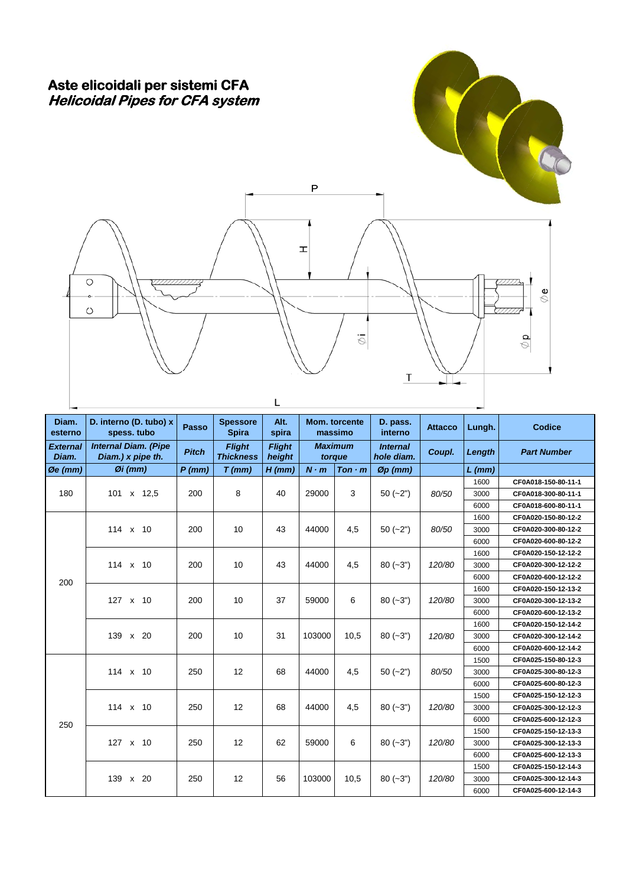## Aste elicoidali per sistemi CFA Helicoidal Pipes for CFA system



 $\overline{L}$ 

| Diam.<br>esterno         | D. interno (D. tubo) x<br>spess. tubo            | <b>Passo</b> | <b>Spessore</b><br><b>Spira</b>   | Alt.<br>spira           |                          | Mom. torcente<br>massimo | D. pass.<br>interno           | <b>Attacco</b> | Lungh.   | <b>Codice</b>       |
|--------------------------|--------------------------------------------------|--------------|-----------------------------------|-------------------------|--------------------------|--------------------------|-------------------------------|----------------|----------|---------------------|
| <b>External</b><br>Diam. | <b>Internal Diam. (Pipe</b><br>Diam.) x pipe th. | <b>Pitch</b> | <b>Flight</b><br><b>Thickness</b> | <b>Fliaht</b><br>height | <b>Maximum</b><br>torque |                          | <b>Internal</b><br>hole diam. | Coupl.         | Length   | <b>Part Number</b>  |
| $\emptyset$ e (mm)       | $Øi$ (mm)                                        | $P$ (mm)     | $T$ (mm)                          | $H$ (mm)                | $N \cdot m$              | $T$ on $\cdot$ m         | $Øp$ (mm)                     |                | $L$ (mm) |                     |
|                          |                                                  |              |                                   |                         |                          |                          |                               |                | 1600     | CF0A018-150-80-11-1 |
| 180                      | 101 x 12,5                                       | 200          | 8                                 | 40                      | 29000                    | 3                        | $50(-2")$                     | 80/50          | 3000     | CF0A018-300-80-11-1 |
|                          |                                                  |              |                                   |                         |                          |                          |                               |                | 6000     | CF0A018-600-80-11-1 |
|                          |                                                  |              |                                   |                         |                          |                          |                               |                | 1600     | CF0A020-150-80-12-2 |
|                          | 114 x 10                                         | 200          | 10                                | 43                      | 44000                    | 4,5                      | $50(-2")$                     | 80/50          | 3000     | CF0A020-300-80-12-2 |
|                          |                                                  |              |                                   |                         |                          |                          |                               |                | 6000     | CF0A020-600-80-12-2 |
|                          |                                                  |              |                                   |                         |                          |                          |                               |                | 1600     | CF0A020-150-12-12-2 |
|                          | 114 x 10                                         | 200          | 10                                | 43                      | 44000                    | 4,5                      | $80 (-3")$                    | 120/80         | 3000     | CF0A020-300-12-12-2 |
| 200                      |                                                  |              |                                   |                         |                          |                          |                               |                | 6000     | CF0A020-600-12-12-2 |
|                          |                                                  |              |                                   |                         |                          |                          |                               |                | 1600     | CF0A020-150-12-13-2 |
|                          | 127 x 10                                         | 200          | 10                                | 37                      | 59000                    | 6                        | $80 (-3")$                    | 120/80         | 3000     | CF0A020-300-12-13-2 |
|                          |                                                  |              |                                   |                         |                          |                          |                               |                | 6000     | CF0A020-600-12-13-2 |
|                          |                                                  |              |                                   |                         |                          |                          |                               |                | 1600     | CF0A020-150-12-14-2 |
|                          | 139 x 20                                         | 200          | 10                                | 31                      | 103000                   | 10.5                     | $80(-3")$                     | 120/80         | 3000     | CF0A020-300-12-14-2 |
|                          |                                                  |              |                                   |                         |                          |                          |                               |                | 6000     | CF0A020-600-12-14-2 |
|                          |                                                  |              |                                   |                         |                          |                          |                               |                | 1500     | CF0A025-150-80-12-3 |
|                          | 114 x 10                                         | 250          | 12                                | 68                      | 44000                    | 4,5                      | $50(-2")$                     | 80/50          | 3000     | CF0A025-300-80-12-3 |
|                          |                                                  |              |                                   |                         |                          |                          |                               |                | 6000     | CF0A025-600-80-12-3 |
|                          |                                                  |              |                                   |                         |                          |                          |                               |                | 1500     | CF0A025-150-12-12-3 |
|                          | 114 x 10                                         | 250          | 12                                | 68                      | 44000                    | 4,5                      | $80 (-3")$                    | 120/80         | 3000     | CF0A025-300-12-12-3 |
| 250                      |                                                  |              |                                   |                         |                          |                          |                               |                | 6000     | CF0A025-600-12-12-3 |
|                          |                                                  |              |                                   |                         |                          |                          |                               |                | 1500     | CF0A025-150-12-13-3 |
|                          | 127 x 10                                         | 250          | 12                                | 62                      | 59000                    | 6                        | $80 (-3")$                    | 120/80         | 3000     | CF0A025-300-12-13-3 |
|                          |                                                  |              |                                   |                         |                          |                          |                               |                | 6000     | CF0A025-600-12-13-3 |
|                          |                                                  |              |                                   |                         |                          |                          | $80 (-3")$                    |                | 1500     | CF0A025-150-12-14-3 |
|                          | 139 x 20                                         | 250          | 12                                | 56                      | 103000                   | 10,5                     |                               | 120/80         | 3000     | CF0A025-300-12-14-3 |
|                          |                                                  |              |                                   |                         |                          |                          |                               |                | 6000     | CF0A025-600-12-14-3 |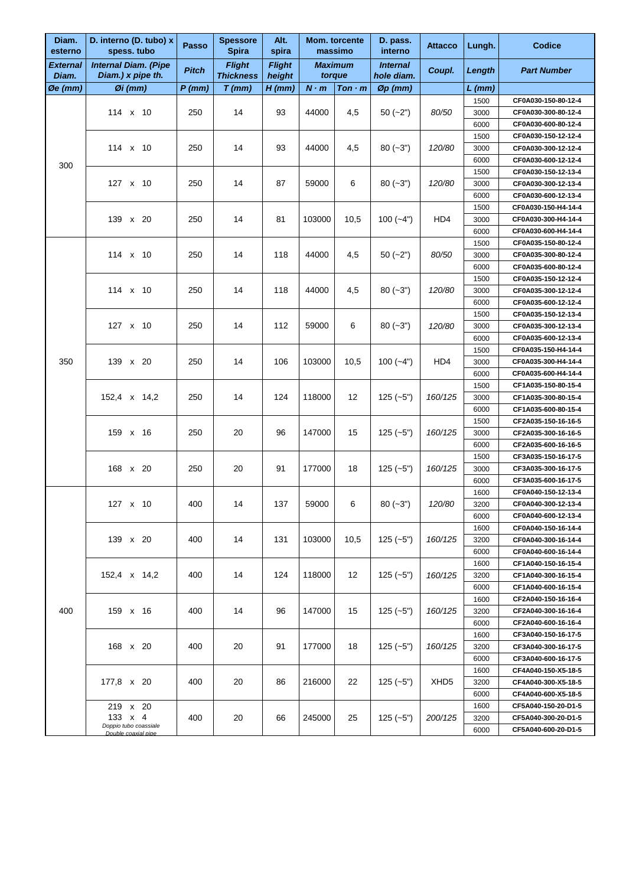| Diam.<br>esterno   | D. interno (D. tubo) x<br>spess. tubo            | Passo        | <b>Spessore</b><br><b>Spira</b>   | Alt.<br>spira           |             | Mom. torcente<br>massimo | D. pass.<br>interno           | <b>Attacco</b>   | Lungh.   | <b>Codice</b>       |      |                     |
|--------------------|--------------------------------------------------|--------------|-----------------------------------|-------------------------|-------------|--------------------------|-------------------------------|------------------|----------|---------------------|------|---------------------|
| External<br>Diam.  | <b>Internal Diam. (Pipe</b><br>Diam.) x pipe th. | <b>Pitch</b> | <b>Flight</b><br><b>Thickness</b> | <b>Flight</b><br>height |             | <b>Maximum</b><br>torque | <b>Internal</b><br>hole diam. | Coupl.           | Length   | <b>Part Number</b>  |      |                     |
| $\emptyset$ e (mm) | $Qi$ (mm)                                        | $P$ (mm)     | $T$ (mm)                          | $H$ (mm)                | $N \cdot m$ | $T$ on $\cdot$ m         | $\varnothing$ p $(mm)$        |                  | $L$ (mm) |                     |      |                     |
|                    |                                                  |              |                                   |                         |             |                          |                               |                  | 1500     | CF0A030-150-80-12-4 |      |                     |
|                    | 114 x 10                                         | 250          | 14                                | 93                      | 44000       | 4,5                      | $50(-2")$                     | 80/50            | 3000     | CF0A030-300-80-12-4 |      |                     |
|                    |                                                  |              |                                   |                         |             |                          |                               |                  | 6000     | CF0A030-600-80-12-4 |      |                     |
|                    |                                                  |              |                                   |                         |             |                          |                               |                  | 1500     | CF0A030-150-12-12-4 |      |                     |
|                    | 114 x 10                                         | 250          | 14                                | 93                      | 44000       | 4,5                      | $80(-3")$                     | 120/80           | 3000     | CF0A030-300-12-12-4 |      |                     |
| 300                |                                                  |              |                                   |                         |             |                          |                               |                  | 6000     | CF0A030-600-12-12-4 |      |                     |
|                    |                                                  |              |                                   |                         |             |                          |                               |                  | 1500     | CF0A030-150-12-13-4 |      |                     |
|                    | 127 x 10                                         | 250          | 14                                | 87                      | 59000       | 6                        | $80(-3")$                     | 120/80           | 3000     | CF0A030-300-12-13-4 |      |                     |
|                    |                                                  |              |                                   |                         |             |                          |                               |                  | 6000     | CF0A030-600-12-13-4 |      |                     |
|                    |                                                  |              |                                   |                         |             |                          |                               | HD4              | 1500     | CF0A030-150-H4-14-4 |      |                     |
|                    | 139 x 20                                         | 250          | 14                                | 81                      | 103000      | 10,5                     | $100 (-4")$                   |                  | 3000     | CF0A030-300-H4-14-4 |      |                     |
|                    |                                                  |              |                                   |                         |             |                          |                               |                  | 6000     | CF0A030-600-H4-14-4 |      |                     |
|                    |                                                  |              |                                   |                         |             |                          |                               |                  | 1500     | CF0A035-150-80-12-4 |      |                     |
|                    | $114 \times 10$                                  | 250          | 14                                | 118                     | 44000       | 4,5                      | $50(-2")$                     | 80/50            | 3000     | CF0A035-300-80-12-4 |      |                     |
|                    |                                                  |              |                                   |                         |             |                          |                               |                  | 6000     | CF0A035-600-80-12-4 |      |                     |
|                    |                                                  |              |                                   |                         |             |                          |                               |                  | 1500     | CF0A035-150-12-12-4 |      |                     |
|                    | 114 x 10                                         | 250          | 14                                | 118                     | 44000       | 4,5                      | $80(-3")$                     | 120/80           | 3000     | CF0A035-300-12-12-4 |      |                     |
|                    |                                                  |              |                                   |                         |             |                          |                               |                  | 6000     | CF0A035-600-12-12-4 |      |                     |
|                    |                                                  |              |                                   |                         |             |                          |                               |                  | 1500     | CF0A035-150-12-13-4 |      |                     |
|                    | 127 x 10                                         | 250          | 14                                | 112                     | 59000       | 6                        | $80(-3")$                     | 120/80           | 3000     | CF0A035-300-12-13-4 |      |                     |
|                    |                                                  |              |                                   |                         |             |                          |                               |                  | 6000     | CF0A035-600-12-13-4 |      |                     |
|                    | 139 x 20                                         |              |                                   |                         |             |                          |                               |                  | 1500     | CF0A035-150-H4-14-4 |      |                     |
| 350                |                                                  | 250          | 14                                | 106                     | 103000      | 10,5                     | $100 (-4")$                   | HD4              | 3000     | CF0A035-300-H4-14-4 |      |                     |
|                    |                                                  |              |                                   |                         |             |                          |                               |                  | 6000     | CF0A035-600-H4-14-4 |      |                     |
|                    | 152,4 x 14,2<br>159 x 16                         |              |                                   |                         |             |                          |                               |                  | 1500     | CF1A035-150-80-15-4 |      |                     |
|                    |                                                  | 250          | 14                                | 124                     | 118000      | 12                       | $125(-5")$                    | 160/125          | 3000     | CF1A035-300-80-15-4 |      |                     |
|                    |                                                  |              |                                   |                         |             |                          |                               |                  | 6000     | CF1A035-600-80-15-4 |      |                     |
|                    |                                                  |              |                                   |                         |             |                          |                               |                  |          |                     | 1500 | CF2A035-150-16-16-5 |
|                    |                                                  | 250          | 20                                | 96                      | 147000      | 15                       | $125(-5")$                    | 160/125          | 3000     | CF2A035-300-16-16-5 |      |                     |
|                    |                                                  |              |                                   |                         |             |                          |                               |                  | 6000     | CF2A035-600-16-16-5 |      |                     |
|                    |                                                  |              |                                   |                         |             | 18                       |                               | 160/125          | 1500     | CF3A035-150-16-17-5 |      |                     |
|                    | 168 x 20                                         | 250          | 20                                | 91                      | 177000      |                          | $125(-5")$                    |                  | 3000     | CF3A035-300-16-17-5 |      |                     |
|                    |                                                  |              |                                   |                         |             |                          |                               |                  | 6000     | CF3A035-600-16-17-5 |      |                     |
|                    |                                                  |              |                                   |                         |             |                          |                               |                  | 1600     | CF0A040-150-12-13-4 |      |                     |
|                    | 127 x 10                                         | 400          | 14                                | 137                     | 59000       | 6                        | $80 (-3")$                    | 120/80           | 3200     | CF0A040-300-12-13-4 |      |                     |
|                    |                                                  |              |                                   |                         |             |                          |                               |                  | 6000     | CF0A040-600-12-13-4 |      |                     |
|                    |                                                  |              |                                   |                         |             |                          |                               |                  | 1600     | CF0A040-150-16-14-4 |      |                     |
|                    | 139 x 20                                         | 400          | 14                                | 131                     | 103000      | 10,5                     | $125(-5")$                    | 160/125          | 3200     | CF0A040-300-16-14-4 |      |                     |
|                    |                                                  |              |                                   |                         |             |                          |                               |                  | 6000     | CF0A040-600-16-14-4 |      |                     |
|                    |                                                  |              |                                   |                         |             |                          |                               |                  | 1600     | CF1A040-150-16-15-4 |      |                     |
|                    | 152,4 x 14,2                                     | 400          | 14                                | 124                     | 118000      | 12                       | $125(-5")$                    | 160/125          | 3200     | CF1A040-300-16-15-4 |      |                     |
|                    |                                                  |              |                                   |                         |             |                          |                               |                  | 6000     | CF1A040-600-16-15-4 |      |                     |
|                    |                                                  |              |                                   |                         |             |                          |                               |                  | 1600     | CF2A040-150-16-16-4 |      |                     |
| 400                | 159 x 16                                         | 400          | 14                                | 96                      | 147000      | 15                       | $125(-5")$                    | 160/125          | 3200     | CF2A040-300-16-16-4 |      |                     |
|                    |                                                  |              |                                   |                         |             |                          |                               |                  | 6000     | CF2A040-600-16-16-4 |      |                     |
|                    |                                                  |              |                                   |                         |             |                          |                               |                  | 1600     | CF3A040-150-16-17-5 |      |                     |
|                    | 168 x 20                                         | 400          | 20                                | 91                      | 177000      | 18                       | $125(-5")$                    | 160/125          | 3200     | CF3A040-300-16-17-5 |      |                     |
|                    |                                                  |              |                                   |                         |             |                          |                               |                  | 6000     | CF3A040-600-16-17-5 |      |                     |
|                    |                                                  |              |                                   |                         |             |                          |                               |                  | 1600     | CF4A040-150-X5-18-5 |      |                     |
|                    | 177,8 x 20                                       | 400          | 20                                | 86                      | 216000      | 22                       | $125(-5")$                    | XHD <sub>5</sub> | 3200     | CF4A040-300-X5-18-5 |      |                     |
|                    |                                                  |              |                                   |                         |             |                          |                               |                  | 6000     | CF4A040-600-X5-18-5 |      |                     |
|                    | 219 x 20                                         |              |                                   |                         |             |                          |                               |                  | 1600     | CF5A040-150-20-D1-5 |      |                     |
|                    | 133 x 4                                          | 400          | 20                                | 66                      | 245000      | 25                       | $125(-5")$                    | 200/125          | 3200     | CF5A040-300-20-D1-5 |      |                     |
|                    | Doppio tubo coassiale<br>Double coaxial pipe     |              |                                   |                         |             |                          |                               |                  | 6000     | CF5A040-600-20-D1-5 |      |                     |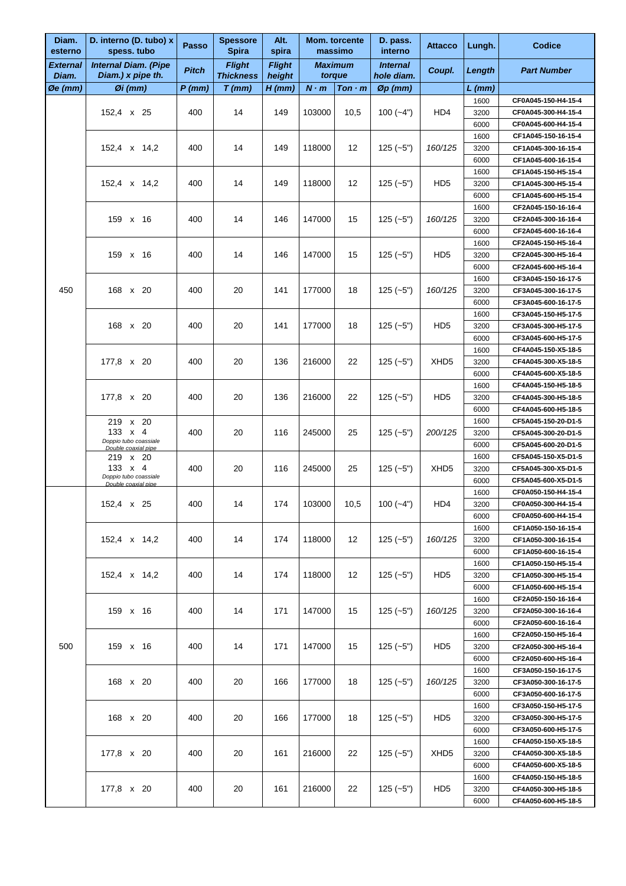| Diam.<br>esterno         | D. interno (D. tubo) x<br>spess. tubo                          | <b>Passo</b>          | <b>Spessore</b><br><b>Spira</b>   | Alt.<br>spira           |             | Mom. torcente<br>massimo | D. pass.<br>interno           | Attacco          | Lungh.           | Codice                                     |                     |
|--------------------------|----------------------------------------------------------------|-----------------------|-----------------------------------|-------------------------|-------------|--------------------------|-------------------------------|------------------|------------------|--------------------------------------------|---------------------|
| <b>External</b><br>Diam. | <b>Internal Diam. (Pipe</b><br>Diam.) x pipe th.               | <b>Pitch</b>          | <b>Flight</b><br><b>Thickness</b> | <b>Flight</b><br>height |             | <b>Maximum</b><br>torque | <b>Internal</b><br>hole diam. | Coupl.           | Length           | <b>Part Number</b>                         |                     |
| Øe (mm)                  | $\emptyset$ i (mm)                                             | $P$ (mm)              | $T$ (mm)                          | H (mm)                  | $N \cdot m$ | Ton·m                    | $\varnothing$ p (mm)          |                  | L (mm)           |                                            |                     |
|                          |                                                                |                       |                                   |                         |             |                          |                               |                  | 1600             | CF0A045-150-H4-15-4                        |                     |
|                          | 152,4 x 25                                                     | 400                   | 14                                | 149                     | 103000      | 10,5                     | $100 (-4")$                   | HD4              | 3200             | CF0A045-300-H4-15-4                        |                     |
|                          |                                                                |                       |                                   |                         |             |                          |                               |                  | 6000             | CF0A045-600-H4-15-4                        |                     |
|                          |                                                                | 400                   | 14                                | 149                     | 118000      | 12                       |                               | 160/125          | 1600             | CF1A045-150-16-15-4<br>CF1A045-300-16-15-4 |                     |
|                          | 152,4 x 14,2                                                   |                       |                                   |                         |             |                          | $125(-5")$                    |                  | 3200<br>6000     | CF1A045-600-16-15-4                        |                     |
|                          |                                                                |                       |                                   |                         |             |                          |                               |                  | 1600             | CF1A045-150-H5-15-4                        |                     |
|                          | 152,4 x 14,2                                                   | 400                   | 14                                | 149                     | 118000      | 12                       | $125(-5")$                    | HD <sub>5</sub>  | 3200             | CF1A045-300-H5-15-4                        |                     |
|                          |                                                                |                       |                                   |                         |             |                          |                               |                  | 6000             | CF1A045-600-H5-15-4                        |                     |
|                          |                                                                |                       |                                   |                         |             |                          |                               |                  | 1600             | CF2A045-150-16-16-4                        |                     |
|                          | 159 x 16                                                       | 400                   | 14                                | 146                     | 147000      | 15                       | $125(-5")$                    | 160/125          | 3200             | CF2A045-300-16-16-4                        |                     |
|                          |                                                                |                       |                                   |                         |             |                          |                               |                  | 6000             | CF2A045-600-16-16-4                        |                     |
|                          |                                                                |                       |                                   |                         |             |                          |                               |                  | 1600             | CF2A045-150-H5-16-4                        |                     |
|                          | 159 x 16                                                       | 400                   | 14                                | 146                     | 147000      | 15                       | $125(-5")$                    | HD <sub>5</sub>  | 3200             | CF2A045-300-H5-16-4                        |                     |
|                          |                                                                |                       |                                   |                         |             |                          |                               |                  | 6000<br>1600     | CF2A045-600-H5-16-4<br>CF3A045-150-16-17-5 |                     |
| 450                      | 168 x 20                                                       | 400                   | 20                                | 141                     | 177000      | 18                       | $125(-5")$                    | 160/125          | 3200             | CF3A045-300-16-17-5                        |                     |
|                          |                                                                |                       |                                   |                         |             |                          |                               |                  | 6000             | CF3A045-600-16-17-5                        |                     |
|                          |                                                                |                       |                                   |                         |             |                          |                               |                  | 1600             | CF3A045-150-H5-17-5                        |                     |
|                          | 168 x 20                                                       | 400                   | 20                                | 141                     | 177000      | 18                       | $125(-5")$                    | HD <sub>5</sub>  | 3200             | CF3A045-300-H5-17-5                        |                     |
|                          |                                                                |                       |                                   |                         |             |                          |                               |                  | 6000             | CF3A045-600-H5-17-5                        |                     |
|                          |                                                                |                       |                                   |                         |             |                          |                               |                  | 1600             | CF4A045-150-X5-18-5                        |                     |
|                          | 177,8 x 20                                                     | 400                   | 20                                | 136                     | 216000      | 22                       | $125(-5")$                    | XHD <sub>5</sub> | 3200             | CF4A045-300-X5-18-5                        |                     |
|                          |                                                                |                       |                                   |                         |             |                          |                               |                  | 6000             | CF4A045-600-X5-18-5                        |                     |
|                          |                                                                |                       |                                   |                         |             |                          |                               |                  | 1600             | CF4A045-150-H5-18-5                        |                     |
|                          | 177,8 x 20                                                     | 400                   | 20                                | 136                     | 216000      | 22                       | $125(-5")$                    | HD <sub>5</sub>  | 3200             | CF4A045-300-H5-18-5                        |                     |
|                          | 219 x 20                                                       |                       |                                   |                         |             |                          |                               |                  | 6000             | CF4A045-600-H5-18-5                        |                     |
|                          |                                                                | 133 $\times$ 4<br>400 | 20                                | 116                     | 245000      | 25                       | $125(-5")$                    | 200/125          | 1600<br>3200     | CF5A045-150-20-D1-5<br>CF5A045-300-20-D1-5 |                     |
|                          | Doppio tubo coassiale<br>Double coaxial pipe                   |                       |                                   |                         |             |                          |                               |                  | 6000             | CF5A045-600-20-D1-5                        |                     |
|                          | 219 x 20                                                       |                       |                                   |                         |             |                          |                               |                  | 1600             | CF5A045-150-X5-D1-5                        |                     |
|                          | 133 $\times$ 4<br>Doppio tubo coassiale<br>Double coaxial pipe |                       | 400                               | 20                      | 116         | 245000                   | 25                            | $125 (-5")$      | XHD <sub>5</sub> | 3200                                       | CF5A045-300-X5-D1-5 |
|                          |                                                                |                       |                                   |                         |             |                          |                               |                  | 6000             | CF5A045-600-X5-D1-5                        |                     |
|                          |                                                                | 400                   |                                   | 174                     |             | 10,5                     | $100 (-4")$                   | HD4              | 1600             | CF0A050-150-H4-15-4                        |                     |
|                          | 152,4 x 25                                                     |                       | 14                                |                         | 103000      |                          |                               |                  | 3200             | CF0A050-300-H4-15-4                        |                     |
|                          |                                                                |                       |                                   |                         |             |                          |                               |                  | 6000             | CF0A050-600-H4-15-4                        |                     |
|                          |                                                                |                       |                                   |                         |             |                          |                               |                  | 1600             | CF1A050-150-16-15-4                        |                     |
|                          | 152,4 x 14,2                                                   | 400                   | 14                                | 174                     | 118000      | 12                       | $125(-5")$                    | 160/125          | 3200             | CF1A050-300-16-15-4                        |                     |
|                          |                                                                |                       |                                   |                         |             |                          |                               |                  | 6000             | CF1A050-600-16-15-4<br>CF1A050-150-H5-15-4 |                     |
|                          | 152,4 x 14,2                                                   | 400                   | 14                                | 174                     | 118000      | 12                       | $125(-5")$                    | HD <sub>5</sub>  | 1600<br>3200     | CF1A050-300-H5-15-4                        |                     |
|                          |                                                                |                       |                                   |                         |             |                          |                               |                  | 6000             | CF1A050-600-H5-15-4                        |                     |
|                          |                                                                |                       |                                   |                         |             |                          |                               |                  | 1600             | CF2A050-150-16-16-4                        |                     |
|                          | 159 x 16                                                       | 400                   | 14                                | 171                     | 147000      | 15                       | $125 (-5")$                   | 160/125          | 3200             | CF2A050-300-16-16-4                        |                     |
|                          |                                                                |                       |                                   |                         |             |                          |                               |                  | 6000             | CF2A050-600-16-16-4                        |                     |
|                          |                                                                |                       |                                   |                         |             |                          |                               |                  | 1600             | CF2A050-150-H5-16-4                        |                     |
| 500                      | 159 x 16                                                       | 400                   | 14                                | 171                     | 147000      | 15                       | $125(-5")$                    | HD <sub>5</sub>  | 3200             | CF2A050-300-H5-16-4                        |                     |
|                          |                                                                |                       |                                   |                         |             |                          |                               |                  | 6000             | CF2A050-600-H5-16-4                        |                     |
|                          |                                                                |                       |                                   |                         |             |                          |                               |                  | 1600             | CF3A050-150-16-17-5                        |                     |
|                          | 168 x 20                                                       | 400                   | 20                                | 166                     | 177000      | 18                       | $125(-5")$                    | 160/125          | 3200             | CF3A050-300-16-17-5                        |                     |
|                          |                                                                |                       |                                   |                         |             |                          |                               |                  | 6000             | CF3A050-600-16-17-5                        |                     |
|                          | 168 x 20                                                       | 400                   | 20                                |                         | 177000      |                          |                               |                  | 1600             | CF3A050-150-H5-17-5                        |                     |
|                          |                                                                |                       |                                   | 166                     |             | 18                       | $125(-5")$                    | HD <sub>5</sub>  | 3200<br>6000     | CF3A050-300-H5-17-5<br>CF3A050-600-H5-17-5 |                     |
|                          |                                                                |                       |                                   |                         |             |                          |                               |                  | 1600             | CF4A050-150-X5-18-5                        |                     |
|                          | 177,8 x 20                                                     | 400                   | 20                                | 161                     | 216000      | 22                       | $125(-5")$                    |                  | 3200             | CF4A050-300-X5-18-5                        |                     |
|                          |                                                                |                       |                                   |                         |             |                          |                               | XHD <sub>5</sub> | 6000             | CF4A050-600-X5-18-5                        |                     |
|                          |                                                                |                       |                                   |                         |             |                          |                               |                  | 1600             | CF4A050-150-H5-18-5                        |                     |
|                          | 177,8 x 20                                                     | 400                   | 20                                | 161                     | 216000      | 22                       | $125(-5")$                    | HD <sub>5</sub>  | 3200             | CF4A050-300-H5-18-5                        |                     |
|                          |                                                                |                       |                                   |                         |             |                          |                               |                  | 6000             | CF4A050-600-H5-18-5                        |                     |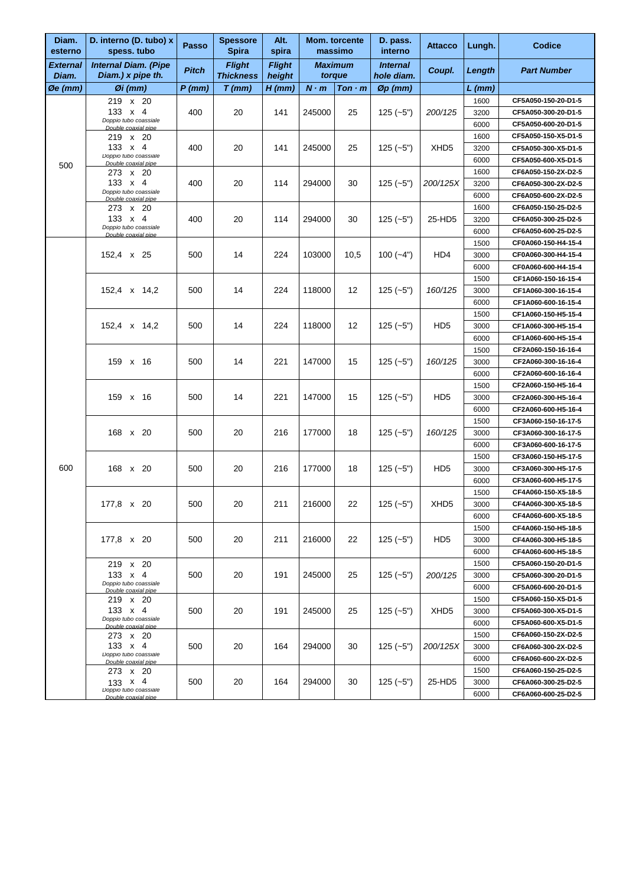| Diam.<br>esterno     | D. interno (D. tubo) x<br>spess. tubo            | Passo        | <b>Spessore</b><br><b>Spira</b>   | Alt.<br>spira           |                | Mom. torcente<br>massimo | D. pass.<br>interno           | <b>Attacco</b>   | Lungh.       | <b>Codice</b>                              |
|----------------------|--------------------------------------------------|--------------|-----------------------------------|-------------------------|----------------|--------------------------|-------------------------------|------------------|--------------|--------------------------------------------|
| External<br>Diam.    | <b>Internal Diam. (Pipe</b><br>Diam.) x pipe th. | <b>Pitch</b> | <b>Flight</b><br><b>Thickness</b> | <b>Flight</b><br>height | <b>Maximum</b> | torque                   | <b>Internal</b><br>hole diam. | Coupl.           | Length       | <b>Part Number</b>                         |
| $\varnothing$ e (mm) | $\emptyset$ i (mm)                               | $P$ (mm)     | $T$ (mm)                          | $H$ (mm)                | $N \cdot m$    | $T$ on $\cdot$ m         | $\varnothing$ p (mm)          |                  | L (mm)       |                                            |
|                      | 219 x 20                                         |              |                                   |                         |                |                          |                               |                  | 1600         | CF5A050-150-20-D1-5                        |
|                      | 133 x 4                                          | 400          | 20                                | 141                     | 245000         | 25                       | $125(-5")$                    | 200/125          | 3200         | CF5A050-300-20-D1-5                        |
|                      | Doppio tubo coassiale<br>Double coaxial pipe     |              |                                   |                         |                |                          |                               |                  | 6000         | CF5A050-600-20-D1-5                        |
|                      | 219 x 20                                         |              |                                   |                         |                |                          |                               |                  | 1600         | CF5A050-150-X5-D1-5                        |
|                      | 133 $\times$ 4<br>Doppio tubo coassiale          | 400          | 20                                | 141                     | 245000         | 25                       | $125(-5")$                    | XHD <sub>5</sub> | 3200         | CF5A050-300-X5-D1-5                        |
| 500                  | Double coaxial pipe                              |              |                                   |                         |                |                          |                               |                  | 6000         | CF5A050-600-X5-D1-5                        |
|                      | 273 x 20                                         |              |                                   |                         |                |                          |                               |                  | 1600         | CF6A050-150-2X-D2-5                        |
|                      | 133 x 4<br>Doppio tubo coassiale                 | 400          | 20                                | 114                     | 294000         | 30                       | $125(-5")$                    | 200/125X         | 3200         | CF6A050-300-2X-D2-5                        |
|                      | Double coaxial pipe                              |              |                                   |                         |                |                          |                               |                  | 6000         | CF6A050-600-2X-D2-5                        |
|                      | 273 x 20                                         |              |                                   |                         |                |                          |                               |                  | 1600         | CF6A050-150-25-D2-5                        |
|                      | 133 $\times$ 4<br>Doppio tubo coassiale          | 400          | 20                                | 114                     | 294000         | 30                       | $125(-5")$                    | 25-HD5           | 3200         | CF6A050-300-25-D2-5                        |
|                      | Double coaxial pipe                              |              |                                   |                         |                |                          |                               |                  | 6000         | CF6A050-600-25-D2-5                        |
|                      | 152,4 x 25                                       |              |                                   | 224                     | 103000         |                          |                               |                  | 1500         | CF0A060-150-H4-15-4<br>CF0A060-300-H4-15-4 |
|                      |                                                  | 500          | 14                                |                         |                | 10,5                     | $100(-4")$                    | HD4              | 3000         | CF0A060-600-H4-15-4                        |
|                      |                                                  |              |                                   |                         |                |                          |                               |                  | 6000         |                                            |
|                      | 152,4 x 14,2                                     | 500          | 14                                | 224                     | 118000         | 12                       | $125(-5")$                    | 160/125          | 1500<br>3000 | CF1A060-150-16-15-4<br>CF1A060-300-16-15-4 |
|                      |                                                  |              |                                   |                         |                |                          |                               |                  | 6000         | CF1A060-600-16-15-4                        |
|                      |                                                  |              |                                   |                         |                |                          |                               |                  | 1500         | CF1A060-150-H5-15-4                        |
|                      |                                                  | 500          | 14                                | 224                     | 118000         | 12                       | $125(-5")$                    | HD <sub>5</sub>  | 3000         | CF1A060-300-H5-15-4                        |
|                      | 152,4 x 14,2                                     |              |                                   |                         |                |                          |                               |                  | 6000         | CF1A060-600-H5-15-4                        |
|                      | 159 x 16                                         |              |                                   |                         |                |                          |                               |                  | 1500         | CF2A060-150-16-16-4                        |
|                      |                                                  | 500          | 14                                | 221                     | 147000         | 15                       | $125(-5")$                    | 160/125          | 3000         | CF2A060-300-16-16-4                        |
|                      |                                                  |              |                                   |                         |                |                          |                               |                  | 6000         | CF2A060-600-16-16-4                        |
|                      | 159 x 16                                         |              |                                   |                         |                |                          |                               |                  | 1500         | CF2A060-150-H5-16-4                        |
|                      |                                                  | 500          | 14                                | 221                     | 147000         | 15                       | $125(-5")$                    | HD <sub>5</sub>  | 3000         | CF2A060-300-H5-16-4                        |
|                      |                                                  |              |                                   |                         |                |                          |                               |                  | 6000         | CF2A060-600-H5-16-4                        |
|                      |                                                  |              |                                   |                         | 177000         |                          |                               |                  | 1500         | CF3A060-150-16-17-5                        |
|                      | 168 x 20                                         | 500          | 20                                | 216                     |                | 18                       | $125(-5")$                    | 160/125          | 3000         | CF3A060-300-16-17-5                        |
|                      |                                                  |              |                                   |                         |                |                          |                               |                  | 6000         | CF3A060-600-16-17-5                        |
|                      |                                                  |              |                                   |                         |                |                          |                               |                  | 1500         | CF3A060-150-H5-17-5                        |
| 600                  | 168 x 20                                         | 500          | 20                                | 216                     | 177000         | 18                       | $125(-5")$                    | HD <sub>5</sub>  | 3000         | CF3A060-300-H5-17-5                        |
|                      |                                                  |              |                                   |                         |                |                          |                               |                  | 6000         | CF3A060-600-H5-17-5                        |
|                      |                                                  |              |                                   |                         |                |                          |                               |                  | 1500         | CF4A060-150-X5-18-5                        |
|                      | 177,8 x 20                                       | 500          | 20                                | 211                     | 216000         | 22                       | $125(-5")$                    | XHD <sub>5</sub> | 3000         | CF4A060-300-X5-18-5                        |
|                      |                                                  |              |                                   |                         |                |                          |                               |                  | 6000         | CF4A060-600-X5-18-5                        |
|                      |                                                  |              |                                   |                         |                |                          |                               |                  | 1500         | CF4A060-150-H5-18-5                        |
|                      | 177,8 x 20                                       | 500          | 20                                | 211                     | 216000         | 22                       | $125(-5")$                    | HD <sub>5</sub>  | 3000         | CF4A060-300-H5-18-5                        |
|                      |                                                  |              |                                   |                         |                |                          |                               |                  | 6000         | CF4A060-600-H5-18-5                        |
|                      | 219 x 20                                         |              |                                   |                         |                |                          |                               |                  | 1500         | CF5A060-150-20-D1-5                        |
|                      | 133 $\times$ 4                                   | 500          | 20                                | 191                     | 245000         | 25                       | $125(-5")$                    | 200/125          | 3000         | CF5A060-300-20-D1-5                        |
|                      | Doppio tubo coassiale<br>Double coaxial pipe     |              |                                   |                         |                |                          |                               |                  | 6000         | CF5A060-600-20-D1-5                        |
|                      | 219 x 20                                         |              |                                   |                         |                |                          |                               |                  | 1500         | CF5A060-150-X5-D1-5                        |
|                      | 133 $\times$ 4                                   | 500          | 20                                | 191                     | 245000         | 25                       | $125(-5")$                    | XHD <sub>5</sub> | 3000         | CF5A060-300-X5-D1-5                        |
|                      | Doppio tubo coassiale<br>Double coaxial pipe     |              |                                   |                         |                |                          |                               |                  | 6000         | CF5A060-600-X5-D1-5                        |
|                      | 273 x 20                                         |              |                                   |                         |                |                          |                               |                  | 1500         | CF6A060-150-2X-D2-5                        |
|                      | 133 $\times$ 4<br>Doppio tubo coassiale          | 500          | 20                                | 164                     | 294000         | 30                       | $125(-5")$                    | 200/125X         | 3000         | CF6A060-300-2X-D2-5                        |
|                      | Double coaxial pipe                              |              |                                   |                         |                |                          |                               |                  | 6000         | CF6A060-600-2X-D2-5                        |
|                      | 273 x 20                                         |              |                                   |                         |                |                          |                               |                  | 1500         | CF6A060-150-25-D2-5                        |
|                      | 133 $\times$ 4<br>Doppio tubo coassiale          | 500          | 20                                | 164                     | 294000         | 30                       | $125(-5")$                    | 25-HD5           | 3000         | CF6A060-300-25-D2-5                        |
|                      | Double coaxial pipe                              |              |                                   |                         |                |                          |                               |                  | 6000         | CF6A060-600-25-D2-5                        |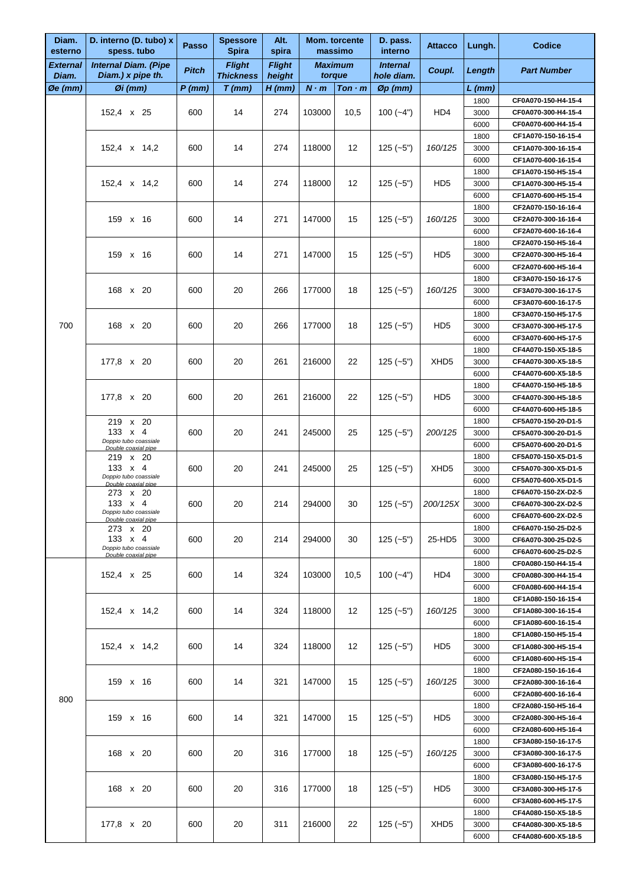| Diam.<br>esterno   | D. interno (D. tubo) x<br>spess. tubo            | <b>Passo</b> | <b>Spessore</b><br><b>Spira</b>   | Alt.<br>spira           |             | <b>Mom. torcente</b><br>massimo | D. pass.<br>interno           | <b>Attacco</b>               | Lungh.                                                                                       | <b>Codice</b>                              |
|--------------------|--------------------------------------------------|--------------|-----------------------------------|-------------------------|-------------|---------------------------------|-------------------------------|------------------------------|----------------------------------------------------------------------------------------------|--------------------------------------------|
| External<br>Diam.  | <b>Internal Diam. (Pipe</b><br>Diam.) x pipe th. | <b>Pitch</b> | <b>Flight</b><br><b>Thickness</b> | <b>Fliaht</b><br>height |             | <b>Maximum</b><br>torque        | <b>Internal</b><br>hole diam. | Coupl.                       | Length                                                                                       | <b>Part Number</b>                         |
| $\emptyset$ e (mm) | $Øi$ (mm)                                        | P (mm)       | $T$ (mm)                          | $H$ (mm)                | $N \cdot m$ | $T$ on $\cdot$ m                | $\varnothing$ p (mm)          |                              | $L$ (mm)                                                                                     |                                            |
|                    |                                                  |              |                                   |                         |             |                                 |                               |                              | 1800                                                                                         | CF0A070-150-H4-15-4                        |
|                    | 152,4 x 25                                       | 600          | 14                                | 274                     | 103000      | 10,5                            | $100(-4")$                    | H <sub>D</sub> 4             | 3000                                                                                         | CF0A070-300-H4-15-4                        |
|                    |                                                  |              |                                   |                         |             |                                 |                               |                              | 6000                                                                                         | CF0A070-600-H4-15-4                        |
|                    |                                                  |              |                                   |                         |             |                                 |                               |                              | 1800                                                                                         | CF1A070-150-16-15-4                        |
|                    | 152,4 x 14,2                                     | 600          | 14                                | 274                     | 118000      | 12                              | $125(-5")$                    | 160/125                      | 3000                                                                                         | CF1A070-300-16-15-4                        |
|                    |                                                  |              |                                   |                         |             |                                 |                               |                              | 6000                                                                                         | CF1A070-600-16-15-4                        |
|                    |                                                  |              |                                   |                         |             |                                 |                               |                              | 1800                                                                                         | CF1A070-150-H5-15-4                        |
|                    | 152.4 x 14.2                                     | 600          | 14                                | 274                     | 118000      | 12                              | $125(-5")$                    | HD <sub>5</sub>              | 3000                                                                                         | CF1A070-300-H5-15-4                        |
|                    |                                                  |              |                                   |                         |             |                                 |                               |                              | 6000                                                                                         | CF1A070-600-H5-15-4                        |
|                    | 159 x 16                                         | 600          | 14                                | 271                     | 147000      | 15                              | $125(-5")$                    | 160/125                      | 1800<br>3000                                                                                 | CF2A070-150-16-16-4<br>CF2A070-300-16-16-4 |
|                    |                                                  |              |                                   |                         |             |                                 |                               |                              | 6000                                                                                         | CF2A070-600-16-16-4                        |
|                    |                                                  |              |                                   |                         |             |                                 |                               |                              | 1800                                                                                         | CF2A070-150-H5-16-4                        |
|                    | 159 x 16                                         | 600          | 14                                | 271                     | 147000      | 15                              | $125(-5")$                    | HD <sub>5</sub>              | 3000                                                                                         | CF2A070-300-H5-16-4                        |
|                    |                                                  |              |                                   |                         |             |                                 |                               |                              | 6000                                                                                         | CF2A070-600-H5-16-4                        |
|                    |                                                  |              |                                   |                         |             |                                 |                               |                              | 1800                                                                                         | CF3A070-150-16-17-5                        |
|                    | 168 x 20                                         | 600          | 20                                | 266                     | 177000      | 18                              | $125(-5")$                    | 160/125                      | 3000                                                                                         | CF3A070-300-16-17-5                        |
|                    |                                                  |              |                                   |                         |             |                                 |                               |                              | 6000                                                                                         | CF3A070-600-16-17-5                        |
|                    |                                                  |              |                                   |                         |             |                                 |                               |                              | 1800                                                                                         | CF3A070-150-H5-17-5                        |
| 700                | 168 x 20                                         | 600          | 20                                | 266                     | 177000      | 18                              | $125(-5")$                    | HD <sub>5</sub>              | 3000                                                                                         | CF3A070-300-H5-17-5                        |
|                    |                                                  |              |                                   |                         |             |                                 |                               |                              | 6000                                                                                         | CF3A070-600-H5-17-5                        |
|                    |                                                  |              |                                   |                         |             |                                 |                               |                              | 1800                                                                                         | CF4A070-150-X5-18-5                        |
|                    | 177,8 x 20                                       | 600          | 20                                | 261                     | 216000      | 22                              | $125(-5")$                    | XHD <sub>5</sub>             | 3000<br>6000<br>1800<br>3000<br>6000<br>1800<br>3000<br>6000<br>1800<br>3000<br>6000<br>1800 | CF4A070-300-X5-18-5                        |
|                    |                                                  |              |                                   |                         |             |                                 |                               |                              |                                                                                              | CF4A070-600-X5-18-5                        |
|                    |                                                  |              |                                   |                         |             |                                 |                               |                              |                                                                                              | CF4A070-150-H5-18-5                        |
|                    | 177,8 x 20                                       | 600          | 20                                | 261                     | 216000      | 22                              | $125(-5")$                    | HD <sub>5</sub>              |                                                                                              | CF4A070-300-H5-18-5                        |
|                    |                                                  |              |                                   |                         |             |                                 |                               |                              |                                                                                              | CF4A070-600-H5-18-5                        |
|                    | 219 x 20<br>133 $\times$ 4                       |              |                                   |                         |             |                                 |                               |                              |                                                                                              | CF5A070-150-20-D1-5                        |
|                    | Doppio tubo coassiale                            | 600          | 20                                | 241                     | 245000      | 25                              | $125(-5")$                    | 200/125                      |                                                                                              | CF5A070-300-20-D1-5                        |
|                    | Double coaxial pipe                              |              |                                   |                         |             |                                 |                               |                              |                                                                                              | CF5A070-600-20-D1-5                        |
|                    | 219 x 20<br>133 x 4                              | 600          | 20                                | 241                     | 245000      | 25                              | $125(-5")$                    | XHD <sub>5</sub><br>200/125X |                                                                                              | CF5A070-150-X5-D1-5<br>CF5A070-300-X5-D1-5 |
|                    | Doppio tubo coassiale                            |              |                                   |                         |             |                                 |                               |                              |                                                                                              | CF5A070-600-X5-D1-5                        |
|                    |                                                  |              |                                   |                         |             |                                 |                               |                              |                                                                                              | CF6A070-150-2X-D2-5                        |
|                    | 273 x 20<br>133 $\times$ 4                       | 600          | 20                                | 214                     | 294000      | 30                              | $125 (-5")$                   |                              | 3000                                                                                         | CF6A070-300-2X-D2-5                        |
|                    | Doppio tubo coassiale                            |              |                                   |                         |             |                                 |                               |                              | 6000                                                                                         | CF6A070-600-2X-D2-5                        |
|                    | Double coaxial pipe<br>273 x 20                  |              |                                   |                         |             |                                 |                               |                              | 1800                                                                                         | CF6A070-150-25-D2-5                        |
|                    | 133 $\times$ 4                                   | 600          | 20                                | 214                     | 294000      | 30                              | $125(-5")$                    | 25-HD5                       | 3000                                                                                         | CF6A070-300-25-D2-5                        |
|                    | Doppio tubo coassiale<br>Double coaxial pipe     |              |                                   |                         |             |                                 |                               |                              | 6000                                                                                         | CF6A070-600-25-D2-5                        |
|                    |                                                  |              |                                   |                         |             |                                 |                               |                              | 1800                                                                                         | CF0A080-150-H4-15-4                        |
|                    | 152,4 x 25                                       | 600          | 14                                | 324                     | 103000      | 10,5                            | $100 (-4")$                   | HD4                          | 3000                                                                                         | CF0A080-300-H4-15-4                        |
|                    |                                                  |              |                                   |                         |             |                                 |                               |                              | 6000                                                                                         | CF0A080-600-H4-15-4                        |
|                    |                                                  |              |                                   |                         |             |                                 |                               |                              | 1800                                                                                         | CF1A080-150-16-15-4                        |
|                    | 152,4 x 14,2                                     | 600          | 14                                | 324                     | 118000      | 12                              | $125(-5")$                    | 160/125                      | 3000                                                                                         | CF1A080-300-16-15-4                        |
|                    |                                                  |              |                                   |                         |             |                                 |                               |                              | 6000                                                                                         | CF1A080-600-16-15-4                        |
|                    |                                                  |              |                                   |                         |             |                                 |                               |                              | 1800                                                                                         | CF1A080-150-H5-15-4                        |
|                    | 152,4 x 14,2                                     | 600          | 14                                | 324                     | 118000      | 12                              | $125(-5")$                    | HD <sub>5</sub>              | 3000                                                                                         | CF1A080-300-H5-15-4                        |
|                    |                                                  |              |                                   |                         |             |                                 |                               |                              | 6000                                                                                         | CF1A080-600-H5-15-4                        |
|                    | 159 x 16                                         | 600          | 14                                | 321                     | 147000      | 15                              | $125(-5")$                    | 160/125                      | 1800<br>3000                                                                                 | CF2A080-150-16-16-4<br>CF2A080-300-16-16-4 |
|                    |                                                  |              |                                   |                         |             |                                 |                               |                              | 6000                                                                                         | CF2A080-600-16-16-4                        |
| 800                |                                                  |              |                                   |                         |             |                                 |                               |                              | 1800                                                                                         | CF2A080-150-H5-16-4                        |
|                    | 159 x 16                                         | 600          | 14                                | 321                     | 147000      | 15                              | $125(-5")$                    | HD <sub>5</sub>              | 3000                                                                                         | CF2A080-300-H5-16-4                        |
|                    |                                                  |              |                                   |                         |             |                                 |                               |                              | 6000                                                                                         | CF2A080-600-H5-16-4                        |
|                    |                                                  |              |                                   |                         |             |                                 |                               |                              | 1800                                                                                         | CF3A080-150-16-17-5                        |
|                    | 168 x 20                                         | 600          | 20                                | 316                     | 177000      | 18                              | $125(-5")$                    | 160/125                      | 3000                                                                                         | CF3A080-300-16-17-5                        |
|                    |                                                  |              |                                   |                         |             |                                 |                               |                              | 6000                                                                                         | CF3A080-600-16-17-5                        |
|                    |                                                  |              |                                   |                         |             |                                 |                               |                              | 1800                                                                                         | CF3A080-150-H5-17-5                        |
|                    | 168 x 20                                         | 600          | 20                                | 316                     | 177000      | 18                              | $125(-5")$                    | HD <sub>5</sub>              | 3000                                                                                         | CF3A080-300-H5-17-5                        |
|                    |                                                  |              |                                   |                         |             |                                 |                               |                              | 6000                                                                                         | CF3A080-600-H5-17-5                        |
|                    |                                                  |              |                                   |                         |             |                                 |                               |                              | 1800                                                                                         | CF4A080-150-X5-18-5                        |
|                    | 177,8 x 20                                       | 600          | 20                                | 311                     | 216000      | 22                              | $125 (-5")$                   | XHD <sub>5</sub>             | 3000                                                                                         | CF4A080-300-X5-18-5                        |
|                    |                                                  |              |                                   |                         |             |                                 |                               |                              | 6000                                                                                         | CF4A080-600-X5-18-5                        |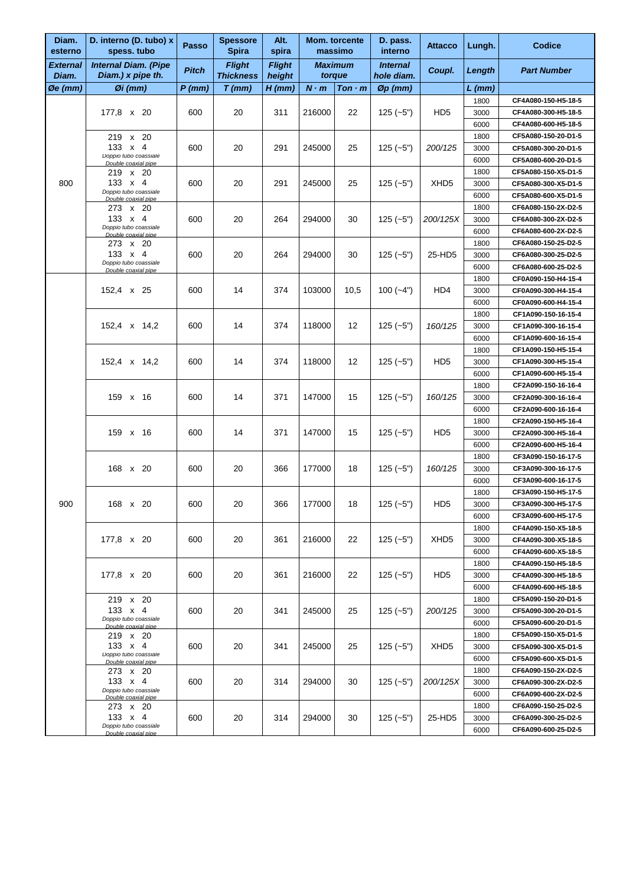| Diam.<br>esterno     | D. interno (D. tubo) x<br>spess. tubo            | Passo        | <b>Spessore</b><br><b>Spira</b>   | Alt.<br>spira           |                          | Mom. torcente<br>massimo | D. pass.<br>interno           | <b>Attacco</b>   | Lungh.       | <b>Codice</b>                                                                                                                                                                                                                                                                                                                                                                                                                                                                                   |
|----------------------|--------------------------------------------------|--------------|-----------------------------------|-------------------------|--------------------------|--------------------------|-------------------------------|------------------|--------------|-------------------------------------------------------------------------------------------------------------------------------------------------------------------------------------------------------------------------------------------------------------------------------------------------------------------------------------------------------------------------------------------------------------------------------------------------------------------------------------------------|
| External<br>Diam.    | <b>Internal Diam. (Pipe</b><br>Diam.) x pipe th. | <b>Pitch</b> | <b>Flight</b><br><b>Thickness</b> | <b>Flight</b><br>height | <b>Maximum</b><br>torque |                          | <b>Internal</b><br>hole diam. | Coupl.           | Length       | <b>Part Number</b>                                                                                                                                                                                                                                                                                                                                                                                                                                                                              |
| $\varnothing$ e (mm) | $\emptyset$ i (mm)                               | $P$ (mm)     | $T$ (mm)                          | $H$ (mm)                | $N \cdot m$              | $T$ on $\cdot$ m         | $Øp$ (mm)                     |                  | L (mm)       |                                                                                                                                                                                                                                                                                                                                                                                                                                                                                                 |
|                      |                                                  |              |                                   |                         |                          |                          |                               |                  | 1800         | CF4A080-150-H5-18-5                                                                                                                                                                                                                                                                                                                                                                                                                                                                             |
|                      | 177,8 x 20                                       | 600          | 20                                | 311                     | 216000                   | 22                       | $125(-5")$                    | HD <sub>5</sub>  | 3000         | CF4A080-300-H5-18-5                                                                                                                                                                                                                                                                                                                                                                                                                                                                             |
|                      |                                                  |              |                                   |                         |                          |                          |                               |                  | 6000         | CF4A080-600-H5-18-5                                                                                                                                                                                                                                                                                                                                                                                                                                                                             |
|                      | 219 x 20                                         |              |                                   |                         |                          |                          |                               |                  | 1800         | CF5A080-150-20-D1-5                                                                                                                                                                                                                                                                                                                                                                                                                                                                             |
|                      | 133 $\times$ 4                                   | 600          | 20                                | 291                     | 245000                   | 25                       | $125(-5")$                    | 200/125          | 3000         | CF5A080-300-20-D1-5                                                                                                                                                                                                                                                                                                                                                                                                                                                                             |
|                      | Doppio tubo coassiale<br>Double coaxial pipe     |              |                                   |                         |                          |                          |                               |                  | 6000         | CF5A080-600-20-D1-5                                                                                                                                                                                                                                                                                                                                                                                                                                                                             |
|                      | 219 x 20                                         |              |                                   |                         |                          |                          |                               |                  | 1800         | CF5A080-150-X5-D1-5                                                                                                                                                                                                                                                                                                                                                                                                                                                                             |
| 800                  | 133 $\times$ 4                                   | 600          | 20                                | 291                     | 245000                   | 25                       | $125(-5")$                    | XHD <sub>5</sub> | 3000         | CF5A080-300-X5-D1-5                                                                                                                                                                                                                                                                                                                                                                                                                                                                             |
|                      | Doppio tubo coassiale<br>Double coaxial pipe     |              |                                   |                         |                          |                          |                               |                  | 6000         | CF5A080-600-X5-D1-5                                                                                                                                                                                                                                                                                                                                                                                                                                                                             |
|                      | 273 x 20                                         |              |                                   |                         |                          |                          |                               |                  | 1800         | CF6A080-150-2X-D2-5                                                                                                                                                                                                                                                                                                                                                                                                                                                                             |
|                      | 133 $\times$ 4<br>Doppio tubo coassiale          | 600          | 20                                | 264                     | 294000                   | 30                       | $125(-5")$                    | 200/125X         | 3000         | CF6A080-300-2X-D2-5                                                                                                                                                                                                                                                                                                                                                                                                                                                                             |
|                      | Double coaxial pipe                              |              |                                   |                         |                          |                          |                               |                  | 6000         | CF6A080-600-2X-D2-5                                                                                                                                                                                                                                                                                                                                                                                                                                                                             |
|                      | 273 x 20                                         |              |                                   |                         |                          |                          |                               | 25-HD5           | 1800         | CF6A080-150-25-D2-5                                                                                                                                                                                                                                                                                                                                                                                                                                                                             |
|                      | 133 $\times$ 4<br>Doppio tubo coassiale          | 600          | 20                                | 264                     | 294000                   | 30                       | $125(-5")$                    |                  | 3000         | CF6A080-300-25-D2-5                                                                                                                                                                                                                                                                                                                                                                                                                                                                             |
|                      | Double coaxial pipe                              |              |                                   |                         |                          |                          |                               |                  | 6000         | CF6A080-600-25-D2-5                                                                                                                                                                                                                                                                                                                                                                                                                                                                             |
|                      |                                                  |              |                                   |                         |                          |                          |                               |                  | 1800         |                                                                                                                                                                                                                                                                                                                                                                                                                                                                                                 |
|                      | 152,4 x 25                                       | 600          | 14                                | 374                     | 103000                   | 10,5                     | $100(-4")$                    | HD4              | 3000         |                                                                                                                                                                                                                                                                                                                                                                                                                                                                                                 |
|                      |                                                  |              |                                   |                         |                          |                          |                               |                  | 6000         |                                                                                                                                                                                                                                                                                                                                                                                                                                                                                                 |
|                      |                                                  |              |                                   |                         |                          |                          |                               |                  | 1800         |                                                                                                                                                                                                                                                                                                                                                                                                                                                                                                 |
|                      | 152,4 x 14,2                                     | 600          | 14                                | 374                     | 118000                   | 12                       | $125(-5")$                    | 160/125          | 3000         |                                                                                                                                                                                                                                                                                                                                                                                                                                                                                                 |
|                      |                                                  |              |                                   |                         |                          |                          |                               |                  | 6000         |                                                                                                                                                                                                                                                                                                                                                                                                                                                                                                 |
|                      | 152,4 x 14,2<br>159 x 16                         |              |                                   |                         |                          |                          |                               |                  | 1800         |                                                                                                                                                                                                                                                                                                                                                                                                                                                                                                 |
|                      |                                                  | 600          | 14                                | 374                     | 118000                   | 12                       | $125(-5")$                    | HD <sub>5</sub>  | 3000         |                                                                                                                                                                                                                                                                                                                                                                                                                                                                                                 |
|                      |                                                  |              |                                   |                         |                          |                          |                               |                  | 6000         |                                                                                                                                                                                                                                                                                                                                                                                                                                                                                                 |
|                      |                                                  |              |                                   |                         |                          |                          | 1800                          |                  |              |                                                                                                                                                                                                                                                                                                                                                                                                                                                                                                 |
|                      |                                                  | 600          | 14                                | 371                     | 147000                   | 15                       | $125(-5")$                    | 160/125          | 3000         |                                                                                                                                                                                                                                                                                                                                                                                                                                                                                                 |
|                      |                                                  |              |                                   |                         |                          |                          |                               |                  | 6000         | CF0A090-150-H4-15-4<br>CF0A090-300-H4-15-4<br>CF0A090-600-H4-15-4<br>CF1A090-150-16-15-4<br>CF1A090-300-16-15-4<br>CF1A090-600-16-15-4<br>CF1A090-150-H5-15-4<br>CF1A090-300-H5-15-4<br>CF1A090-600-H5-15-4<br>CF2A090-150-16-16-4<br>CF2A090-300-16-16-4<br>CF2A090-600-16-16-4<br>CF2A090-150-H5-16-4<br>CF2A090-300-H5-16-4<br>CF2A090-600-H5-16-4<br>CF3A090-150-16-17-5<br>CF3A090-300-16-17-5<br>CF3A090-600-16-17-5<br>CF3A090-150-H5-17-5<br>CF3A090-300-H5-17-5<br>CF3A090-600-H5-17-5 |
|                      |                                                  |              |                                   |                         |                          |                          |                               | HD <sub>5</sub>  | 1800         |                                                                                                                                                                                                                                                                                                                                                                                                                                                                                                 |
|                      | 159 x 16                                         | 600          | 14                                | 371                     | 147000                   | 15                       | $125 (-5")$                   |                  | 3000         |                                                                                                                                                                                                                                                                                                                                                                                                                                                                                                 |
|                      |                                                  |              |                                   |                         |                          |                          |                               |                  | 6000         |                                                                                                                                                                                                                                                                                                                                                                                                                                                                                                 |
|                      | 168 x 20                                         | 600          | 20                                | 366                     | 177000                   | 18                       | $125(-5")$                    | 160/125          | 1800<br>3000 |                                                                                                                                                                                                                                                                                                                                                                                                                                                                                                 |
|                      |                                                  |              |                                   |                         |                          |                          |                               |                  | 6000         |                                                                                                                                                                                                                                                                                                                                                                                                                                                                                                 |
|                      |                                                  |              |                                   |                         |                          |                          |                               |                  | 1800         |                                                                                                                                                                                                                                                                                                                                                                                                                                                                                                 |
| 900                  | 168 x 20                                         | 600          | 20                                | 366                     | 177000                   | 18                       | $125(-5")$                    | HD <sub>5</sub>  | 3000         |                                                                                                                                                                                                                                                                                                                                                                                                                                                                                                 |
|                      |                                                  |              |                                   |                         |                          |                          |                               |                  | 6000         |                                                                                                                                                                                                                                                                                                                                                                                                                                                                                                 |
|                      |                                                  |              |                                   |                         |                          |                          |                               |                  | 1800         | CF4A090-150-X5-18-5                                                                                                                                                                                                                                                                                                                                                                                                                                                                             |
|                      | 177,8 x 20                                       | 600          | 20                                | 361                     | 216000                   | 22                       | $125(-5")$                    | XHD <sub>5</sub> | 3000         | CF4A090-300-X5-18-5                                                                                                                                                                                                                                                                                                                                                                                                                                                                             |
|                      |                                                  |              |                                   |                         |                          |                          |                               |                  | 6000         | CF4A090-600-X5-18-5                                                                                                                                                                                                                                                                                                                                                                                                                                                                             |
|                      |                                                  |              |                                   |                         |                          |                          |                               |                  | 1800         | CF4A090-150-H5-18-5                                                                                                                                                                                                                                                                                                                                                                                                                                                                             |
|                      | 177,8 x 20                                       | 600          | 20                                | 361                     | 216000                   | 22                       | $125(-5")$                    | HD <sub>5</sub>  | 3000         | CF4A090-300-H5-18-5                                                                                                                                                                                                                                                                                                                                                                                                                                                                             |
|                      |                                                  |              |                                   |                         |                          |                          |                               |                  | 6000         | CF4A090-600-H5-18-5                                                                                                                                                                                                                                                                                                                                                                                                                                                                             |
|                      | 219 x 20                                         |              |                                   |                         |                          |                          |                               |                  | 1800         | CF5A090-150-20-D1-5                                                                                                                                                                                                                                                                                                                                                                                                                                                                             |
|                      | 133 x 4                                          | 600          | 20                                | 341                     | 245000                   | 25                       | $125(-5")$                    | 200/125          | 3000         | CF5A090-300-20-D1-5                                                                                                                                                                                                                                                                                                                                                                                                                                                                             |
|                      | Doppio tubo coassiale                            |              |                                   |                         |                          |                          |                               |                  | 6000         | CF5A090-600-20-D1-5                                                                                                                                                                                                                                                                                                                                                                                                                                                                             |
|                      | Double coaxial pipe<br>219 x 20                  |              |                                   |                         |                          |                          |                               |                  | 1800         | CF5A090-150-X5-D1-5                                                                                                                                                                                                                                                                                                                                                                                                                                                                             |
|                      | 133 $\times$ 4                                   | 600          | 20                                | 341                     | 245000                   | 25                       | $125(-5")$                    | XHD <sub>5</sub> | 3000         | CF5A090-300-X5-D1-5                                                                                                                                                                                                                                                                                                                                                                                                                                                                             |
|                      | Doppio tubo coassiale                            |              |                                   |                         |                          |                          |                               |                  | 6000         | CF5A090-600-X5-D1-5                                                                                                                                                                                                                                                                                                                                                                                                                                                                             |
|                      | Double coaxial pipe                              |              |                                   |                         |                          |                          |                               |                  | 1800         | CF6A090-150-2X-D2-5                                                                                                                                                                                                                                                                                                                                                                                                                                                                             |
|                      | 273 x 20<br>133 $\times$ 4                       | 600          | 20                                | 314                     | 294000                   | 30                       | $125(-5")$                    | 200/125X         | 3000         | CF6A090-300-2X-D2-5                                                                                                                                                                                                                                                                                                                                                                                                                                                                             |
|                      | Doppio tubo coassiale                            |              |                                   |                         |                          |                          |                               |                  | 6000         | CF6A090-600-2X-D2-5                                                                                                                                                                                                                                                                                                                                                                                                                                                                             |
|                      | Double coaxial pipe<br>273 x 20                  |              |                                   |                         |                          |                          |                               |                  | 1800         | CF6A090-150-25-D2-5                                                                                                                                                                                                                                                                                                                                                                                                                                                                             |
|                      | 133 $\times$ 4                                   | 600          | 20                                | 314                     | 294000                   | 30                       | $125(-5")$                    | 25-HD5           | 3000         | CF6A090-300-25-D2-5                                                                                                                                                                                                                                                                                                                                                                                                                                                                             |
|                      | Doppio tubo coassiale<br>Double coaxial pipe     |              |                                   |                         |                          |                          |                               |                  | 6000         | CF6A090-600-25-D2-5                                                                                                                                                                                                                                                                                                                                                                                                                                                                             |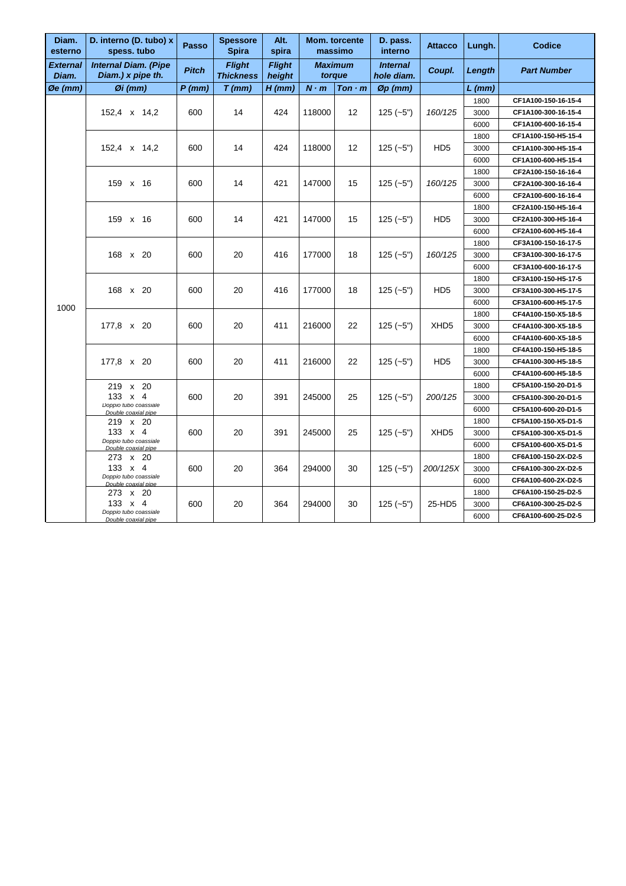| Diam.<br>esterno     | D. interno (D. tubo) x<br>spess. tubo            | Passo        | <b>Spessore</b><br><b>Spira</b>   | Alt.<br>spira           | Mom. torcente  | massimo          | D. pass.<br>interno           | <b>Attacco</b>   | Lungh.   | <b>Codice</b>       |
|----------------------|--------------------------------------------------|--------------|-----------------------------------|-------------------------|----------------|------------------|-------------------------------|------------------|----------|---------------------|
| External<br>Diam.    | <b>Internal Diam. (Pipe</b><br>Diam.) x pipe th. | <b>Pitch</b> | <b>Flight</b><br><b>Thickness</b> | <b>Flight</b><br>height | <b>Maximum</b> | torque           | <b>Internal</b><br>hole diam. | Coupl.           | Length   | <b>Part Number</b>  |
| $\varnothing$ e (mm) | $\emptyset$ i (mm)                               | $P$ (mm)     | $T$ (mm)                          | $H$ (mm)                | $N \cdot m$    | $T$ on $\cdot$ m | $\varnothing$ p (mm)          |                  | $L$ (mm) |                     |
|                      |                                                  |              |                                   |                         |                |                  |                               |                  | 1800     | CF1A100-150-16-15-4 |
|                      | 152,4 x 14,2                                     | 600          | 14                                | 424                     | 118000         | 12               | $125(-5")$                    | 160/125          | 3000     | CF1A100-300-16-15-4 |
|                      |                                                  |              |                                   |                         |                |                  |                               |                  | 6000     | CF1A100-600-16-15-4 |
|                      |                                                  |              |                                   |                         |                |                  |                               |                  | 1800     | CF1A100-150-H5-15-4 |
|                      | 152,4 x 14,2                                     | 600          | 14                                | 424                     | 118000         | 12               | $125 (-5")$                   | HD <sub>5</sub>  | 3000     | CF1A100-300-H5-15-4 |
|                      |                                                  |              |                                   |                         |                |                  |                               |                  | 6000     | CF1A100-600-H5-15-4 |
|                      |                                                  |              |                                   |                         |                |                  |                               |                  | 1800     | CF2A100-150-16-16-4 |
|                      | 159 x 16                                         | 600          | 14                                | 421                     | 147000         | 15               | $125(-5")$                    | 160/125          | 3000     | CF2A100-300-16-16-4 |
|                      |                                                  |              |                                   |                         |                |                  |                               |                  | 6000     | CF2A100-600-16-16-4 |
|                      |                                                  |              |                                   |                         |                |                  |                               |                  | 1800     | CF2A100-150-H5-16-4 |
|                      | 159 x 16                                         | 600          | 14                                | 421                     | 147000         | 15               | $125(-5")$                    | HD <sub>5</sub>  | 3000     | CF2A100-300-H5-16-4 |
|                      |                                                  |              |                                   |                         |                |                  |                               |                  | 6000     | CF2A100-600-H5-16-4 |
|                      |                                                  |              |                                   |                         |                |                  |                               |                  | 1800     | CF3A100-150-16-17-5 |
|                      | 168 x 20                                         | 600          | 20                                | 416                     | 177000         | 18               | $125(-5")$                    | 160/125          | 3000     | CF3A100-300-16-17-5 |
|                      |                                                  |              |                                   |                         |                |                  |                               |                  | 6000     | CF3A100-600-16-17-5 |
|                      |                                                  |              |                                   |                         |                |                  |                               |                  | 1800     | CF3A100-150-H5-17-5 |
|                      | 168 x 20                                         | 600          | 20                                | 416                     | 177000         | 18               | $125 (-5")$                   | HD <sub>5</sub>  | 3000     | CF3A100-300-H5-17-5 |
| 1000                 |                                                  |              |                                   |                         |                |                  |                               |                  | 6000     | CF3A100-600-H5-17-5 |
|                      |                                                  | 600          |                                   |                         |                |                  | $125(-5")$                    |                  | 1800     | CF4A100-150-X5-18-5 |
|                      | 177,8 x 20                                       |              | 20                                | 411                     | 216000         | 22               |                               | XHD <sub>5</sub> | 3000     | CF4A100-300-X5-18-5 |
|                      |                                                  |              |                                   |                         |                |                  |                               |                  | 6000     | CF4A100-600-X5-18-5 |
|                      |                                                  |              |                                   |                         |                |                  |                               |                  | 1800     | CF4A100-150-H5-18-5 |
|                      | 177,8 x 20                                       | 600          | 20                                | 411                     | 216000         | 22               | $125 (-5")$                   | HD <sub>5</sub>  | 3000     | CF4A100-300-H5-18-5 |
|                      |                                                  |              |                                   |                         |                |                  |                               |                  | 6000     | CF4A100-600-H5-18-5 |
|                      | 219 x 20                                         |              |                                   |                         |                |                  |                               |                  | 1800     | CF5A100-150-20-D1-5 |
|                      | $133 \times 4$                                   | 600          | 20                                | 391                     | 245000         | 25               | $125(-5")$                    | 200/125          | 3000     | CF5A100-300-20-D1-5 |
|                      | Doppio tubo coassiale<br>Double coaxial pipe     |              |                                   |                         |                |                  |                               |                  | 6000     | CF5A100-600-20-D1-5 |
|                      | 219 x 20                                         |              |                                   |                         |                |                  |                               |                  | 1800     | CF5A100-150-X5-D1-5 |
|                      | 133 x 4                                          | 600          | 20                                | 391                     | 245000         | 25               | $125(-5")$                    | XHD <sub>5</sub> | 3000     | CF5A100-300-X5-D1-5 |
|                      | Doppio tubo coassiale<br>Double coaxial pipe     |              |                                   |                         |                |                  |                               |                  | 6000     | CF5A100-600-X5-D1-5 |
|                      | 273 x 20                                         |              |                                   |                         |                |                  |                               |                  | 1800     | CF6A100-150-2X-D2-5 |
|                      | 133 $\times$ 4                                   | 600          | 20                                | 364                     | 294000         | 30               | $125(-5")$                    | 200/125X         | 3000     | CF6A100-300-2X-D2-5 |
|                      | Doppio tubo coassiale<br>Double coaxial pipe     |              |                                   |                         |                |                  |                               |                  | 6000     | CF6A100-600-2X-D2-5 |
|                      | 273 x 20                                         |              |                                   |                         |                |                  |                               |                  | 1800     | CF6A100-150-25-D2-5 |
|                      | 133 $\times$ 4                                   | 600          | 20                                | 364                     | 294000         | 30               | $125(-5")$                    | 25-HD5           | 3000     | CF6A100-300-25-D2-5 |
|                      | Doppio tubo coassiale<br>Double coaxial pipe     |              |                                   |                         |                |                  |                               |                  | 6000     | CF6A100-600-25-D2-5 |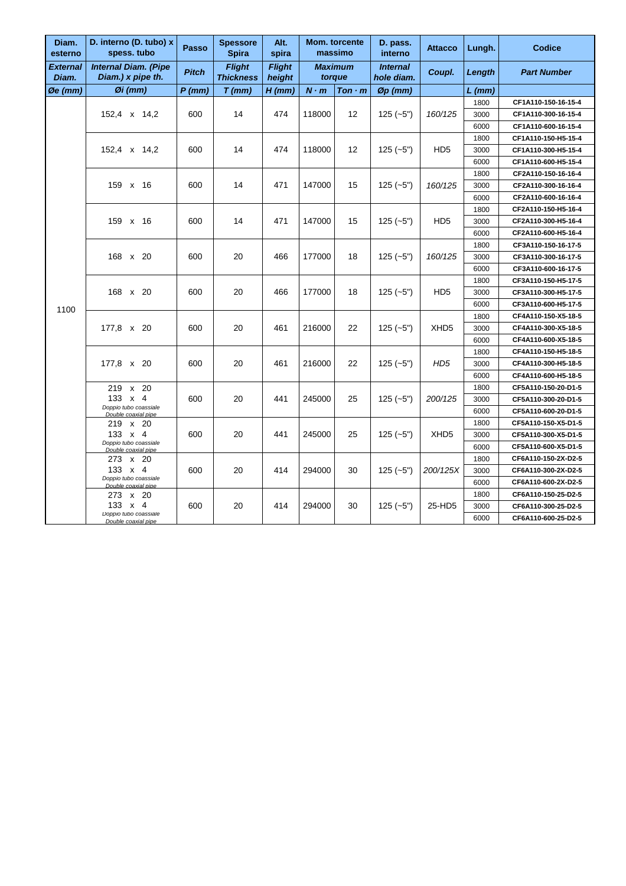| Diam.<br>esterno   | D. interno (D. tubo) x<br>spess. tubo            | Passo        | <b>Spessore</b><br><b>Spira</b>   | Alt.<br>spira           |             | Mom. torcente<br>massimo | D. pass.<br>interno           | <b>Attacco</b>   | Lungh. | <b>Codice</b>       |
|--------------------|--------------------------------------------------|--------------|-----------------------------------|-------------------------|-------------|--------------------------|-------------------------------|------------------|--------|---------------------|
| External<br>Diam.  | <b>Internal Diam. (Pipe</b><br>Diam.) x pipe th. | <b>Pitch</b> | <b>Flight</b><br><b>Thickness</b> | <b>Flight</b><br>height |             | <b>Maximum</b><br>torque | <b>Internal</b><br>hole diam. | Coupl.           | Length | <b>Part Number</b>  |
| $\emptyset$ e (mm) | $Øi$ (mm)                                        | $P$ (mm)     | $T$ (mm)                          | $H$ (mm)                | $N \cdot m$ | $T$ on $\cdot$ m         | $\varnothing$ p (mm)          |                  | L (mm) |                     |
|                    |                                                  |              |                                   |                         |             |                          |                               |                  | 1800   | CF1A110-150-16-15-4 |
|                    | 152,4 x 14,2                                     | 600          | 14                                | 474                     | 118000      | 12                       | $125(-5")$                    | 160/125          | 3000   | CF1A110-300-16-15-4 |
|                    |                                                  |              |                                   |                         |             |                          |                               |                  | 6000   | CF1A110-600-16-15-4 |
|                    |                                                  |              |                                   |                         |             |                          |                               | H <sub>D5</sub>  | 1800   | CF1A110-150-H5-15-4 |
|                    | 152,4 x 14,2                                     | 600          | 14                                | 474                     | 118000      | 12                       | $125(-5")$                    |                  | 3000   | CF1A110-300-H5-15-4 |
|                    |                                                  |              |                                   |                         |             |                          |                               |                  | 6000   | CF1A110-600-H5-15-4 |
|                    |                                                  |              |                                   |                         |             |                          |                               |                  | 1800   | CF2A110-150-16-16-4 |
|                    | 159 x 16                                         | 600          | 14                                | 471                     | 147000      | 15                       | $125(-5")$                    | 160/125          | 3000   | CF2A110-300-16-16-4 |
|                    |                                                  |              |                                   |                         |             |                          |                               |                  | 6000   | CF2A110-600-16-16-4 |
|                    |                                                  |              |                                   |                         |             |                          |                               |                  | 1800   | CF2A110-150-H5-16-4 |
|                    | 159 x 16                                         | 600          | 14                                | 471                     | 147000      | 15                       | $125(-5")$                    | HD <sub>5</sub>  | 3000   | CF2A110-300-H5-16-4 |
|                    |                                                  |              |                                   |                         |             |                          |                               |                  | 6000   | CF2A110-600-H5-16-4 |
|                    |                                                  |              |                                   |                         |             |                          |                               |                  | 1800   | CF3A110-150-16-17-5 |
|                    | 168 x 20                                         | 600          | 20                                | 466                     | 177000      | 18                       | $125(-5")$                    | 160/125          | 3000   | CF3A110-300-16-17-5 |
|                    |                                                  |              |                                   |                         |             |                          |                               |                  | 6000   | CF3A110-600-16-17-5 |
|                    |                                                  |              |                                   |                         |             |                          |                               |                  | 1800   | CF3A110-150-H5-17-5 |
|                    | 168 x 20                                         | 600          | 20                                | 466                     | 177000      | 18                       | $125(-5")$                    | HD <sub>5</sub>  | 3000   | CF3A110-300-H5-17-5 |
| 1100               |                                                  |              |                                   |                         |             |                          |                               |                  | 6000   | CF3A110-600-H5-17-5 |
|                    |                                                  | 600          |                                   |                         | 216000      |                          | $125(-5")$                    |                  | 1800   | CF4A110-150-X5-18-5 |
|                    | 177,8 x 20                                       |              | 20                                | 461                     |             | 22                       |                               | XHD <sub>5</sub> | 3000   | CF4A110-300-X5-18-5 |
|                    |                                                  |              |                                   |                         |             |                          |                               |                  | 6000   | CF4A110-600-X5-18-5 |
|                    |                                                  |              |                                   |                         |             |                          |                               |                  | 1800   | CF4A110-150-H5-18-5 |
|                    | 177,8 x 20                                       | 600          | 20                                | 461                     | 216000      | 22                       | $125(-5")$                    | HD <sub>5</sub>  | 3000   | CF4A110-300-H5-18-5 |
|                    |                                                  |              |                                   |                         |             |                          |                               |                  | 6000   | CF4A110-600-H5-18-5 |
|                    | 219 x 20                                         |              |                                   |                         |             |                          |                               |                  | 1800   | CF5A110-150-20-D1-5 |
|                    | $133 \times 4$                                   | 600          | 20                                | 441                     | 245000      | 25                       | $125(-5")$                    | 200/125          | 3000   | CF5A110-300-20-D1-5 |
|                    | Doppio tubo coassiale<br>Double coaxial pipe     |              |                                   |                         |             |                          |                               |                  | 6000   | CF5A110-600-20-D1-5 |
|                    | 219 x 20                                         |              |                                   |                         |             |                          |                               |                  | 1800   | CF5A110-150-X5-D1-5 |
|                    | 133 x 4                                          | 600          | 20                                | 441                     | 245000      | 25                       | $125(-5")$                    | XHD <sub>5</sub> | 3000   | CF5A110-300-X5-D1-5 |
|                    | Doppio tubo coassiale<br>Double coaxial pipe     |              |                                   |                         |             |                          |                               |                  | 6000   | CF5A110-600-X5-D1-5 |
|                    | 273 x 20                                         |              |                                   |                         |             |                          |                               |                  | 1800   | CF6A110-150-2X-D2-5 |
|                    | 133 x 4                                          | 600          | 20                                | 414                     | 294000      | 30                       | $125(-5")$                    | 200/125X         | 3000   | CF6A110-300-2X-D2-5 |
|                    | Doppio tubo coassiale<br>Double coaxial pipe     |              |                                   |                         |             |                          |                               |                  | 6000   | CF6A110-600-2X-D2-5 |
|                    | 273 x 20                                         |              |                                   |                         |             |                          |                               |                  | 1800   | CF6A110-150-25-D2-5 |
|                    | 133 $\times$ 4                                   | 600          | 20                                | 414                     | 294000      | 30                       | $125(-5")$                    | 25-HD5           | 3000   | CF6A110-300-25-D2-5 |
|                    | Doppio tubo coassiale<br>Double coaxial pipe     |              |                                   |                         |             |                          |                               |                  | 6000   | CF6A110-600-25-D2-5 |